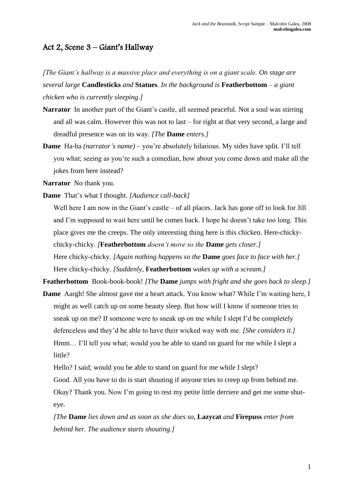## Act 2, Scene 3 – Giant's Hallway

*[The Giant's hallway is a massive place and everything is on a giant scale. On stage are several large* **Candlesticks** *and* **Statues***. In the background is* **Featherbottom** *– a giant chicken who is currently sleeping.]*

- **Narrator** In another part of the Giant's castle, all seemed peaceful. Not a soul was stirring and all was calm. However this was not to last – for right at that very second, a large and dreadful presence was on its way. *[The* **Dame** *enters.]*
- **Dame** Ha-ha *(narrator's name)* you're absolutely hilarious. My sides have split. I'll tell you what; seeing as you're such a comedian, how about you come down and make all the jokes from here instead?
- **Narrator** No thank you.
- **Dame** That's what I thought. *[Audience call-back]*

Well here I am now in the Giant's castle – of all places. Jack has gone off to look for Jill and I'm supposed to wait here until he comes back. I hope he doesn't take too long. This place gives me the creeps. The only interesting thing here is this chicken. Here-chickychicky-chicky. *[***Featherbottom** *doesn't move so the* **Dame** *gets closer.]* Here chicky-chicky. *[Again nothing happens so the* **Dame** *goes face to face with her.]* Here chicky-chicky. *[Suddenly,* **Featherbottom** *wakes up with a scream.]*

**Featherbottom** Book-book-book! *[The* **Dame** *jumps with fright and she goes back to sleep.]*

- **Dame** Aargh! She almost gave me a heart attack. You know what? While I'm waiting here, I might as well catch up on some beauty sleep. But how will I know if someone tries to sneak up on me? If someone were to sneak up on me while I slept I'd be completely defenceless and they'd be able to have their wicked way with me. *[She considers it.]* Hmm… I'll tell you what; would you be able to stand on guard for me while I slept a little?
	- Hello? I said; would you be able to stand on guard for me while I slept?
	- Good. All you have to do is start shouting if anyone tries to creep up from behind me.

Okay? Thank you. Now I'm going to rest my petite little derriere and get me some shuteye.

*[The* **Dame** *lies down and as soon as she does so,* **Lazycat** *and* **Firepuss** *enter from behind her. The audience starts shouting.]*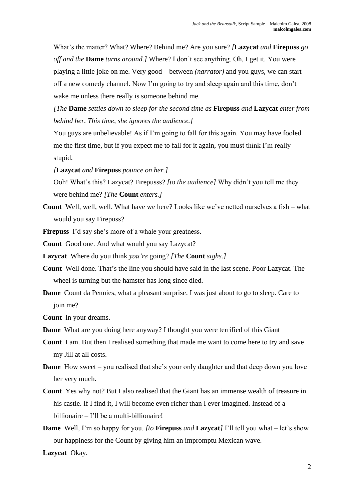What's the matter? What? Where? Behind me? Are you sure? *[***Lazycat** *and* **Firepuss** *go off and the* **Dame** *turns around.]* Where? I don't see anything. Oh, I get it. You were playing a little joke on me. Very good – between *(narrator)* and you guys, we can start off a new comedy channel. Now I'm going to try and sleep again and this time, don't wake me unless there really is someone behind me.

*[The* **Dame** *settles down to sleep for the second time as* **Firepuss** *and* **Lazycat** *enter from behind her. This time, she ignores the audience.]*

You guys are unbelievable! As if I'm going to fall for this again. You may have fooled me the first time, but if you expect me to fall for it again, you must think I'm really stupid.

*[***Lazycat** *and* **Firepuss** *pounce on her.]*

Ooh! What's this? Lazycat? Firepusss? *[to the audience]* Why didn't you tell me they were behind me? *[The* **Count** *enters.]*

**Count** Well, well, well. What have we here? Looks like we've netted ourselves a fish – what would you say Firepuss?

**Firepuss** I'd say she's more of a whale your greatness.

**Count** Good one. And what would you say Lazycat?

**Lazycat** Where do you think *you're* going? *[The* **Count** *sighs.]*

- **Count** Well done. That's the line you should have said in the last scene. Poor Lazycat. The wheel is turning but the hamster has long since died.
- **Dame** Count da Pennies, what a pleasant surprise. I was just about to go to sleep. Care to join me?

**Count** In your dreams.

- **Dame** What are you doing here anyway? I thought you were terrified of this Giant
- **Count** I am. But then I realised something that made me want to come here to try and save my Jill at all costs.
- **Dame** How sweet you realised that she's your only daughter and that deep down you love her very much.
- **Count** Yes why not? But I also realised that the Giant has an immense wealth of treasure in his castle. If I find it, I will become even richer than I ever imagined. Instead of a billionaire – I'll be a multi-billionaire!
- **Dame** Well, I'm so happy for you. *[to* **Firepuss** *and* **Lazycat***]* I'll tell you what let's show our happiness for the Count by giving him an impromptu Mexican wave.

**Lazycat** Okay.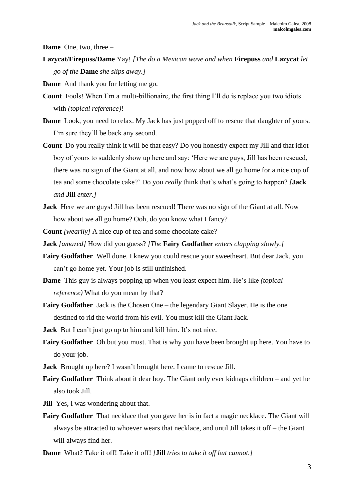**Dame** One, two, three –

**Lazycat/Firepuss/Dame** Yay! *[The do a Mexican wave and when* **Firepuss** *and* **Lazycat** *let go of the* **Dame** *she slips away.]*

**Dame** And thank you for letting me go.

- **Count** Fools! When I'm a multi-billionaire, the first thing I'll do is replace you two idiots with *(topical reference)*!
- **Dame** Look, you need to relax. My Jack has just popped off to rescue that daughter of yours. I'm sure they'll be back any second.
- **Count** Do you really think it will be that easy? Do you honestly expect my Jill and that idiot boy of yours to suddenly show up here and say: 'Here we are guys, Jill has been rescued, there was no sign of the Giant at all, and now how about we all go home for a nice cup of tea and some chocolate cake?' Do you *really* think that's what's going to happen? *[***Jack**  *and* **Jill** *enter.]*
- **Jack** Here we are guys! Jill has been rescued! There was no sign of the Giant at all. Now how about we all go home? Ooh, do you know what I fancy?

**Count** *[wearily]* A nice cup of tea and some chocolate cake?

- **Jack** *[amazed]* How did you guess? *[The* **Fairy Godfather** *enters clapping slowly.]*
- **Fairy Godfather** Well done. I knew you could rescue your sweetheart. But dear Jack, you can't go home yet. Your job is still unfinished.
- **Dame** This guy is always popping up when you least expect him. He's like *(topical reference)* What do you mean by that?
- **Fairy Godfather** Jack is the Chosen One the legendary Giant Slayer. He is the one destined to rid the world from his evil. You must kill the Giant Jack.

**Jack** But I can't just go up to him and kill him. It's not nice.

- **Fairy Godfather** Oh but you must. That is why you have been brought up here. You have to do your job.
- **Jack** Brought up here? I wasn't brought here. I came to rescue Jill.
- **Fairy Godfather** Think about it dear boy. The Giant only ever kidnaps children and yet he also took Jill.
- **Jill** Yes, I was wondering about that.
- **Fairy Godfather** That necklace that you gave her is in fact a magic necklace. The Giant will always be attracted to whoever wears that necklace, and until Jill takes it off – the Giant will always find her.

**Dame** What? Take it off! Take it off! *[***Jill** *tries to take it off but cannot.]*